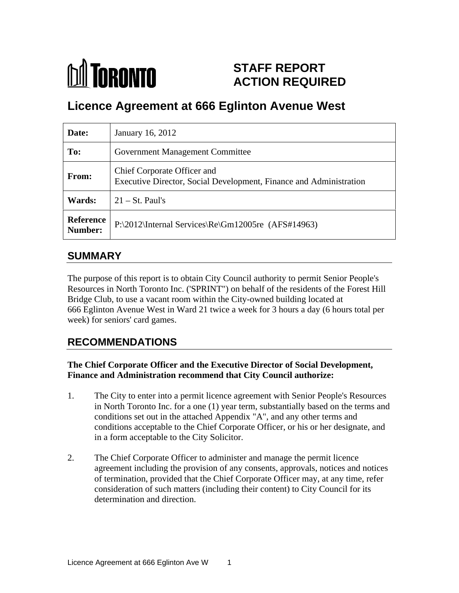

## **STAFF REPORT ACTION REQUIRED**

# **Licence Agreement at 666 Eglinton Avenue West**

| Date:         | January 16, 2012                                                                                  |
|---------------|---------------------------------------------------------------------------------------------------|
| To:           | <b>Government Management Committee</b>                                                            |
| <b>From:</b>  | Chief Corporate Officer and<br>Executive Director, Social Development, Finance and Administration |
| <b>Wards:</b> | $\vert 21 - \text{St. Paul's} \vert$                                                              |
|               | Reference P:\2012\Internal Services\Re\Gm12005re (AFS#14963)                                      |

### **SUMMARY**

The purpose of this report is to obtain City Council authority to permit Senior People's Resources in North Toronto Inc. ('SPRINT") on behalf of the residents of the Forest Hill Bridge Club, to use a vacant room within the City-owned building located at 666 Eglinton Avenue West in Ward 21 twice a week for 3 hours a day (6 hours total per week) for seniors' card games.

## **RECOMMENDATIONS**

#### **The Chief Corporate Officer and the Executive Director of Social Development, Finance and Administration recommend that City Council authorize:**

- 1. The City to enter into a permit licence agreement with Senior People's Resources in North Toronto Inc. for a one (1) year term, substantially based on the terms and conditions set out in the attached Appendix "A", and any other terms and conditions acceptable to the Chief Corporate Officer, or his or her designate, and in a form acceptable to the City Solicitor.
- 2. The Chief Corporate Officer to administer and manage the permit licence agreement including the provision of any consents, approvals, notices and notices of termination, provided that the Chief Corporate Officer may, at any time, refer consideration of such matters (including their content) to City Council for its determination and direction.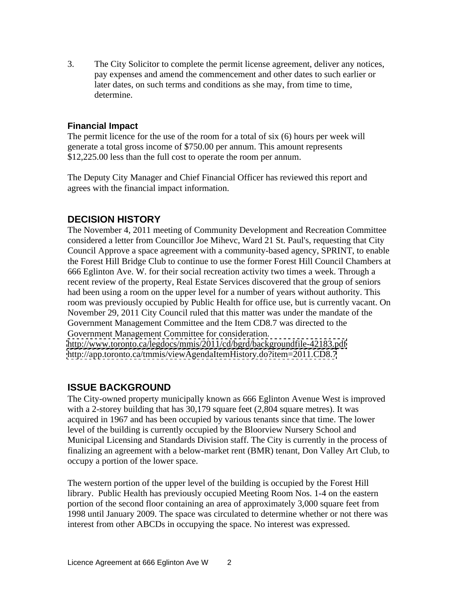3. The City Solicitor to complete the permit license agreement, deliver any notices, pay expenses and amend the commencement and other dates to such earlier or later dates, on such terms and conditions as she may, from time to time, determine.

#### **Financial Impact**

The permit licence for the use of the room for a total of six (6) hours per week will generate a total gross income of \$750.00 per annum. This amount represents \$12,225.00 less than the full cost to operate the room per annum.

The Deputy City Manager and Chief Financial Officer has reviewed this report and agrees with the financial impact information.

#### **DECISION HISTORY**

The November 4, 2011 meeting of Community Development and Recreation Committee considered a letter from Councillor Joe Mihevc, Ward 21 St. Paul's, requesting that City Council Approve a space agreement with a community-based agency, SPRINT, to enable the Forest Hill Bridge Club to continue to use the former Forest Hill Council Chambers at 666 Eglinton Ave. W. for their social recreation activity two times a week. Through a recent review of the property, Real Estate Services discovered that the group of seniors had been using a room on the upper level for a number of years without authority. This room was previously occupied by Public Health for office use, but is currently vacant. On November 29, 2011 City Council ruled that this matter was under the mandate of the Government Management Committee and the Item CD8.7 was directed to the Government Management Committee for consideration.

<http://www.toronto.ca/legdocs/mmis/2011/cd/bgrd/backgroundfile-42183.pdf> <http://app.toronto.ca/tmmis/viewAgendaItemHistory.do?item=2011.CD8.7>

#### **ISSUE BACKGROUND**

The City-owned property municipally known as 666 Eglinton Avenue West is improved with a 2-storey building that has 30,179 square feet  $(2,804)$  square metres). It was acquired in 1967 and has been occupied by various tenants since that time. The lower level of the building is currently occupied by the Bloorview Nursery School and Municipal Licensing and Standards Division staff. The City is currently in the process of finalizing an agreement with a below-market rent (BMR) tenant, Don Valley Art Club, to occupy a portion of the lower space.

The western portion of the upper level of the building is occupied by the Forest Hill library. Public Health has previously occupied Meeting Room Nos. 1-4 on the eastern portion of the second floor containing an area of approximately 3,000 square feet from 1998 until January 2009. The space was circulated to determine whether or not there was interest from other ABCDs in occupying the space. No interest was expressed.